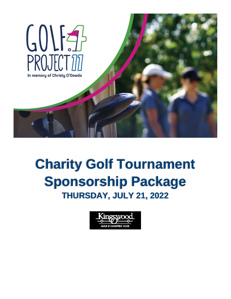

## **Charity Golf Tournament Sponsorship Package THURSDAY, JULY 21, 2022**

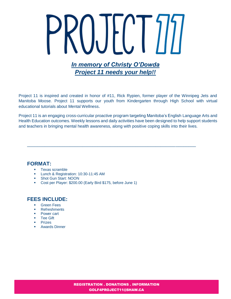# $|.\,|$  $\mathsf{L}$ *In memory of Christy O'Dowda Project 11 needs your help!!*

Project 11 is inspired and created in honor of #11, Rick Rypien, former player of the Winnipeg Jets and Manitoba Moose. Project 11 supports our youth from Kindergarten through High School with virtual educational tutorials about Mental Wellness.

Project 11 is an engaging cross-curricular proactive program targeting Manitoba's English Language Arts and Health Education outcomes. Weekly lessons and daily activities have been designed to help support students and teachers in bringing mental health awareness, along with positive coping skills into their lives.

\_\_\_\_\_\_\_\_\_\_\_\_\_\_\_\_\_\_\_\_\_\_\_\_\_\_\_\_\_\_\_\_\_\_\_\_\_\_\_\_\_\_\_\_\_\_\_\_\_\_\_\_\_\_\_\_\_\_\_\_\_\_\_\_\_\_\_

#### **FORMAT:**

- **Texas scramble**
- **Lunch & Registration: 10:30-11:45 AM**
- Shot Gun Start: NOON
- Cost per Player: \$200.00 (Early Bird \$175, before June 1)

#### **FEES INCLUDE:**

- **Green Fees**
- **Refreshments**
- **Power cart**
- **Tee Gift**
- **Prizes**
- **-** Awards Dinner

REGISTRATION . DONATIONS . INFORMATION GOLF4PROJECT11@SHAW.CA